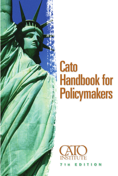

# **Cato<br>Handbook for Policymakers**

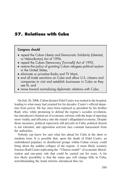# *57. Relations with Cuba*

#### *Congress should*

- repeal the Cuban Liberty and Democratic Solidarity (Libertad, or Helms-Burton) Act of 1996,
- repeal the Cuban Democracy (Torricelli) Act of 1992,
- restore the policy of granting Cuban refugees political asylum in the United States,
- eliminate or privatize Radio and TV Marti,
- end all trade sanctions on Cuba and allow U.S. citizens and companies to visit and establish businesses in Cuba as they see fit, and
- move toward normalizing diplomatic relations with Cuba.

On July 26, 2006, Cuban dictator Fidel Castro was rushed to the hospital, leading to what many had yearned for for decades: Castro's official departure from power. He has since been replaced as president by his brother Rau<sup>l</sup>, who, while promising to defend the regime's socialist revolution, has introduced a limited set of economic reforms with the hope of injecting more vitality and efficiency into the island's dilapidated economy. Despite those measures, political repression still prevails in Cuba; political dissent is not tolerated, and opposition activists face constant harassment from the authorities.

Nobody can know for sure what lies ahead for Cuba in the short or medium term. It is possible that, upon the death of Fidel Castro, an emboldened populace or disaffected groups within Cuban society could bring about the sudden collapse of the regime. A more likely scenario foresees Rau´l Castro replicating the ''Chinese model'' of economic liberalization and one-party rule that could be carried out for years. A far less likely possibility is that the status quo will change little in Cuba, notwithstanding the timid reforms introduced thus far.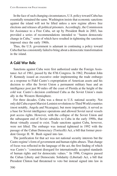In the face of such changing circumstances, U.S. policy toward Cuba has essentially remained the same. Washington insists that economic sanctions against the island will not be lifted unless a new regime allows free elections and releases all political prisoners. Accordingly, the Commission for Assistance to a Free Cuba, set up by President Bush in 2003, has provided a series of recommendations intended to ''hasten democratic change in Cuba,'' some of which have resulted in tightening the sanctions imposed since the early 1960s.

Thus, the U.S. government is adamant in continuing a policy toward Cuba that has consistently failed to bring about a democratic transformation in the island.

## *A Cold War Relic*

Sanctions against Cuba were first authorized under the Foreign Assistance Act of 1961, passed by the 87th Congress. In 1962, President John F. Kennedy issued an executive order implementing the trade embargo as a response to Fidel Castro's expropriation of American assets and his decision to offer the Soviet Union a permanent military base and an intelligence post just 90 miles off the coast of Florida at the height of the cold war. Castro's decision confirmed Cuba as the Soviet Union's main ally in the Western Hemisphere.

For three decades, Cuba was a threat to U.S. national security. Not only did Cuba export Marxist-Leninist revolutions to Third World countries (most notably, Angola and Nicaragua), but more importantly, it served as a base for Soviet intelligence operations and allowed Soviet naval vessels port access rights. However, with the collapse of the Soviet Union and the subsequent end of Soviet subsidies to Cuba in the early 1990s, that threat virtually ceased to exist. Trade sanctions against Cuba, however, were not lifted. The embargo was instead tightened in 1992 with the passage of the Cuban Democracy (Torricelli) Act, a bill that former president George H. W. Bush signed into law.

The justification for that act was not national security interests but the Castro regime's form of government and human rights abuses. That change of focus was reflected in the language of the act, the first finding of which was Castro's ''consistent disregard for internationally accepted standards of human rights and for democratic values.'' In 1996, Congress passed the Cuban Liberty and Democratic Solidarity (Libertad) Act, a bill that President Clinton had threatened to veto but instead signed into law in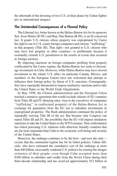the aftermath of the downing of two U.S. civilian planes by Cuban fighter jets in international airspace.

### *The Unintended Consequences of a Flawed Policy*

The Libertad Act, better known as the Helms-Burton Act for its sponsors Sen. Jesse Helms (R-NC) and Rep. Dan Burton (R-IN), is an ill-conceived law. It grants U.S. citizens whose property was expropriated by Castro the right to sue in U.S. courts foreign companies and citizens ''trafficking'' in that property (Title III). That right—not granted to U.S. citizens who may have lost property in other countries—is problematic because it essentially extends U.S. jurisdiction to the results of events that occurred in foreign territory.

By imposing sanctions on foreign companies profiting from property confiscated by the Castro regime, the Helms-Burton Act seeks to discourage investment in Cuba. However, while Helms-Burton may have slowed investment in the island, U.S. allies (in particular Canada, Mexico, and members of the European Union) have not welcomed that attempt to influence their foreign policy by threat of U.S. sanctions. Consequently, they have repeatedly threatened to impose retaliatory sanctions and to take the United States to the World Trade Organization.

In May 1998, the Clinton administration and the European Union reached a tentative agreement that would exclude citizens of EU countries from Titles III and IV (denying entry visas to the executives of companies ''trafficking'' in confiscated property) of the Helms-Burton Act in exchange for guarantees from the EU not to subsidize investments in expropriated properties. The Bush administration continued the policy of repeatedly waiving Title III of the act. But because only Congress can repeal Titles III and IV, the possibility that the EU will impose retaliatory sanctions or take the United States to the WTO remains. That confrontation has risked poisoning U.S. relations with otherwise friendly countries that are far more important than Cuba to the economic well-being and security of the United States.

Moreover, the embargo continues to be the best—and now the only excuse that the communist regime has for its failed policies. Cuban officials, who have estimated the cumulative cost of the embargo at more than \$40 billion, incessantly condemn U.S. policies for causing the meager existence of their people, even though Cuba accepted more than \$100 billion in subsidies and credits from the Soviet Union during their three-decade relationship and has received approximately \$12 billion in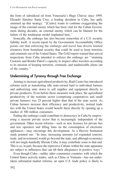the form of subsidized oil from Venezuela's Hugo Chávez since 1999. Elizardo Sánchez Santa Cruz, a leading dissident in Cuba, has aptly summed up that strategy: ''[Castro] wants to continue exaggerating the image of the external enemy which has been vital for the Cuban Government during decades, an external enemy which can be blamed for the failure of the totalitarian model implanted here.''

Ironically, the embargo has also become somewhat of a U.S. security liability itself. A recent report by the Government Accountability Office points out that enforcing the embargo and travel ban diverts limited resources from homeland security that could be used to keep terrorists and criminals out of the United States. The GAO report warned that arrival inspections from Cuba intended to enforce the embargo are ''straining Customs and Border Patrol's capacity to inspect other travelers according to its mission of keeping terrorists, criminals, and inadmissible aliens out of the country.''

## *Undermining of Tyranny through Free Exchange*

Aiming to increase agricultural productivity, Raúl Castro has introduced reforms such as transferring idle state-owned land to individual farmers and authorizing state stores to sell supplies and equipment directly to private producers. Even before those measures took place, the agricultural productivity of the nonstate sector (comprising cooperatives and small private farmers) was 25 percent higher than that of the state sector. As Cuban farmers increase their efficiency and productivity, normal trade ties with the United States would benefit them directly by opening up a market of 300 million consumers.

Ending the embargo could contribute to democracy in Cuba by empowering a nascent private sector that is increasingly independent of the government. Other recent reforms—such as new licenses for private bus and taxi operators and lifting bans on the consumption of electronic appliances—may encourage this development. As a Hoover Institution study pointed out: ''In time, increasing amounts [of expanded tourism, trade, and investment] would go beyond the state, and although economics will not single-handedly liberate Cuba, it may contribute some to that end. This is so, in part, because the repressive Cubans within the state apparatus are subject to influences that can tilt their allegiances in positive ways.''

Even though Cuba—unlike other communist countries with which the United States actively trades, such as China or Vietnam—has not undertaken substantial market reforms, an open U.S. trade policy is likely to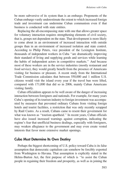be more subversive of its system than is an embargo. Proponents of the Cuban embargo vastly underestimate the extent to which increased foreign trade and investment can undermine Cuban communism even if that business is conducted with state entities.

Replacing the all-encompassing state with one that allows greater space for voluntary interaction requires strengthening elements of civil society, that is, groups not dependent on the state. That development is more likely to come about in an environment of increased interaction with outside groups than in an environment of increased isolation and state control. According to Philip Peters, vice president of the Lexington Institute, thousands of independent workers in Cuba ''are dramatically improving their standard of living and supplying goods and services while learning the habits of independent actors in competitive markets.'' And because most of these workers are in the service industries (mostly restaurant and food service), they would greatly benefit from the presence of Americans visiting for business or pleasure. A recent study from the International Trade Commission calculates that between 550,000 and 1 million U.S. citizens would visit the island every year if the travel ban were lifted, compared with 171,000 that did so in 2006, mainly Cuban Americans visiting family.

Cuban officialdom appears to be well aware of the danger of increasing interaction between foreigners and nationals. For example, for many years Cuba's opening of its tourism industry to foreign investment was accompanied by measures that prevented ordinary Cubans from visiting foreign hotels and tourist facilities, a restriction that was only recently scrapped by Rau´l Castro. As a result, Cubans came to resent their government for what was known as ''tourism apartheid.'' In recent years, Cuban officials have also issued increased warnings against corruption, indicating the regime's fear that unofficial business dealings, especially with foreigners, may weaken allegiance to the government and may even create vested interests that favor more extensive market openings.

#### *Cuba Must Determine Its Own Destiny*

Perhaps the biggest shortcoming of U.S. policy toward Cuba is its false assumption that democratic capitalism can somehow be forcibly exported from Washington to Havana. That assumption is explicitly stated in the Helms-Burton Act, the first purpose of which is ''to assist the Cuban people in regaining their freedom and prosperity, as well as in joining the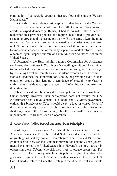community of democratic countries that are flourishing in the Western Hemisphere.''

But the shift toward democratic capitalism that began in the Western Hemisphere almost three decades ago had little to do with Washington's efforts to export democracy. Rather, it had to do with Latin America's realization that previous policies and regimes had failed to provide selfsustaining growth and increasing prosperity. By the same token, the more recent rise of populism in some Latin-American countries is not the result of U.S. policy toward the region but a result of those countries' failure to implement a coherent set of mutually supportive market reforms. Those outcomes, again, depend entirely on Latin-American countries, not on the United States.

Unfortunately, the Bush administration's Commission for Assistance to a Free Cuba continues in Washington's meddling tradition. The administration adopted the commission's recommendation to tighten the embargo by restricting travel and remittances to the island even further. The commission also endorsed the administration's policy of providing aid to Cuban opposition groups, thus lending a semblance of credibility to Castro's claims that dissident groups are agents of Washington, undermining their standing.

Cuban exiles should be allowed to participate in the transformation of Cuban society. However, their participation need not require the U.S. government's active involvement. Thus, Radio and TV Marti, government entities that broadcast to Cuba, should be privatized or closed down. If the exile community believes that those stations are a useful resource in its struggle against the Castro regime, it has the means—there are no legal impediments—to finance such an operation.

## *A New Cuba Policy Based on American Principles*

Washington's policies toward Cuba should be consistent with traditional American principles. First, the United States should restore the practice of granting political asylum to Cuban refugees. The 1994 and 1995 immigration accords between the Clinton administration and the Cuban government have turned the United States into Havana's de jure partner in oppressing those Cubans who risk their lives to escape repression. The ''wet feet, dry feet'' policy, which grants political asylum to Cuban refugees who make it to the U.S. shore on their own and forces the U.S. Coast Guard to return to Cuba those refugees that it picks up at sea, should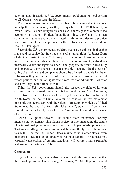be eliminated. Instead, the U.S. government should grant political asylum to all Cubans who escape the island.

There is no reason to believe that Cuban refugees would not continue to help the U.S. economy as they always have. The 1980 boatlift, in which 120,000 Cuban refugees reached U.S. shores, proved a boon to the economy of southern Florida. In addition, since the Cuban-American community has repeatedly demonstrated its ability and desire to provide for refugees until they can provide for themselves, such a policy need not cost U.S. taxpayers.

Second, the U.S. government should protect its own citizens' inalienable rights and recognize that free trade is itself a human right. As James Dorn of the Cato Institute says: ''The supposed dichotomy between the right to trade and human rights is a false one. . . . As moral agents, individuals necessarily claim the rights to liberty and property in order to live fully and to pursue their interests in a responsible manner.'' In the case of Cuba, U.S. citizens and companies should be allowed to decide for themselves—as they are in the case of dozens of countries around the world whose political and human rights records are less than admirable—whether and how they should trade with it.

Third, the U.S. government should also respect the right of its own citizens to travel abroad freely and lift the travel ban to Cuba. Currently, U.S. citizens can travel more or less freely to such countries as Iran and North Korea, but not to Cuba. Government bans on the free movement of people are inconsistent with the values of freedom on which the United States was founded. As Rep. Jeff Flake (R-AZ) puts it, ''If somebody should limit your travel, it should be a Communist. It should be someone other than us.''

Fourth, U.S. policy toward Cuba should focus on national security interests, not on transforming Cuban society or micromanaging the affairs of a transitional government as current law obliges Washington to do. That means lifting the embargo and establishing the types of diplomatic ties with Cuba that the United States maintains with other states, even dictatorial states that do not threaten its national security. Those measures, especially the ending of current sanctions, will ensure a more peaceful and smooth transition in Cuba.

#### *Conclusion*

Signs of increasing political dissatisfaction with the embargo show that the tide of opinion is clearly turning. A February 2008 Gallup poll showed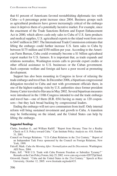that 61 percent of Americans favored reestablishing diplomatic ties with Cuba—a 6 percentage point increase since 2004. Business groups such as agricultural producers have grown increasingly critical of the embargo since it deprives them of a potentially lucrative market. For example, since the enactment of the Trade Sanctions Reform and Export Enhancement Act in 2000, which allows cash-only sales to Cuba of U.S. farm products and medical supplies, U.S. agricultural exports to the island went from zero to \$447 million in 2007. The International Trade Commission estimates that lifting the embargo could further increase U.S. farm sales to Cuba by between \$175 million and \$350 million per year. According to the American Farm Bureau, Cuba could eventually become a \$1 billion agricultural export market for U.S. farmers. It is important that, as trade expands and relations normalize, Washington resists calls to provide export credits or other official assistance to U.S. businesses or the Cuban government. Such corporate welfare and foreign aid have a poor record at promoting development.

Support has also been mounting in Congress in favor of relaxing the trade embargo and travel ban. In December 2006, a bipartisan congressional delegation traveled to Cuba and met with government officials there, in one of the highest-ranking visits by U.S. authorities since former president Jimmy Carter traveled to Havana in May 2002. Several bipartisan measures were introduced in the 110th Congress intended to end the trade embargo and travel ban—one of them (H.R. 654) having as many as 120 cosponsors—but they lack broad backing by congressional leaders.

Ending the embargo will not save communism from itself. Only internal reform will bring sustained investment and growth to Cuba. A transition may be forthcoming on the island, and the United States can help by lifting the embargo.

#### *Suggested Readings*

- Clarke, Jonathan G., and William Ratliff. ''Report from Havana: Time for a Reality Check on U.S. Policy toward Cuba.'' Cato Institute Policy Analysis no. 418, October 31, 2001.
- Council on Foreign Relations. ''U.S.-Cuban Relations in the 21st Century.'' Report of an Independent Task Force sponsored by the Council on Foreign Relations, New York, 1999.
- Falcoff, Mark. *Cuba the Morning After: Normalization and Its Discontents*. Washington: AEI Press, 2004.
- Flake, Jeff. ''Will U.S. Trade with Cuba Promote Freedom or Subsidize Tyranny?'' Remarks at the Cato Policy Forum, July 25, 2002. www.cato.org-events-020725pf.html.
- Griswold, Daniel. ''Cuba and the United States in the 21st Century.'' Speech at Rice University, October 12, 2005. www.freetrade.org/node/433.